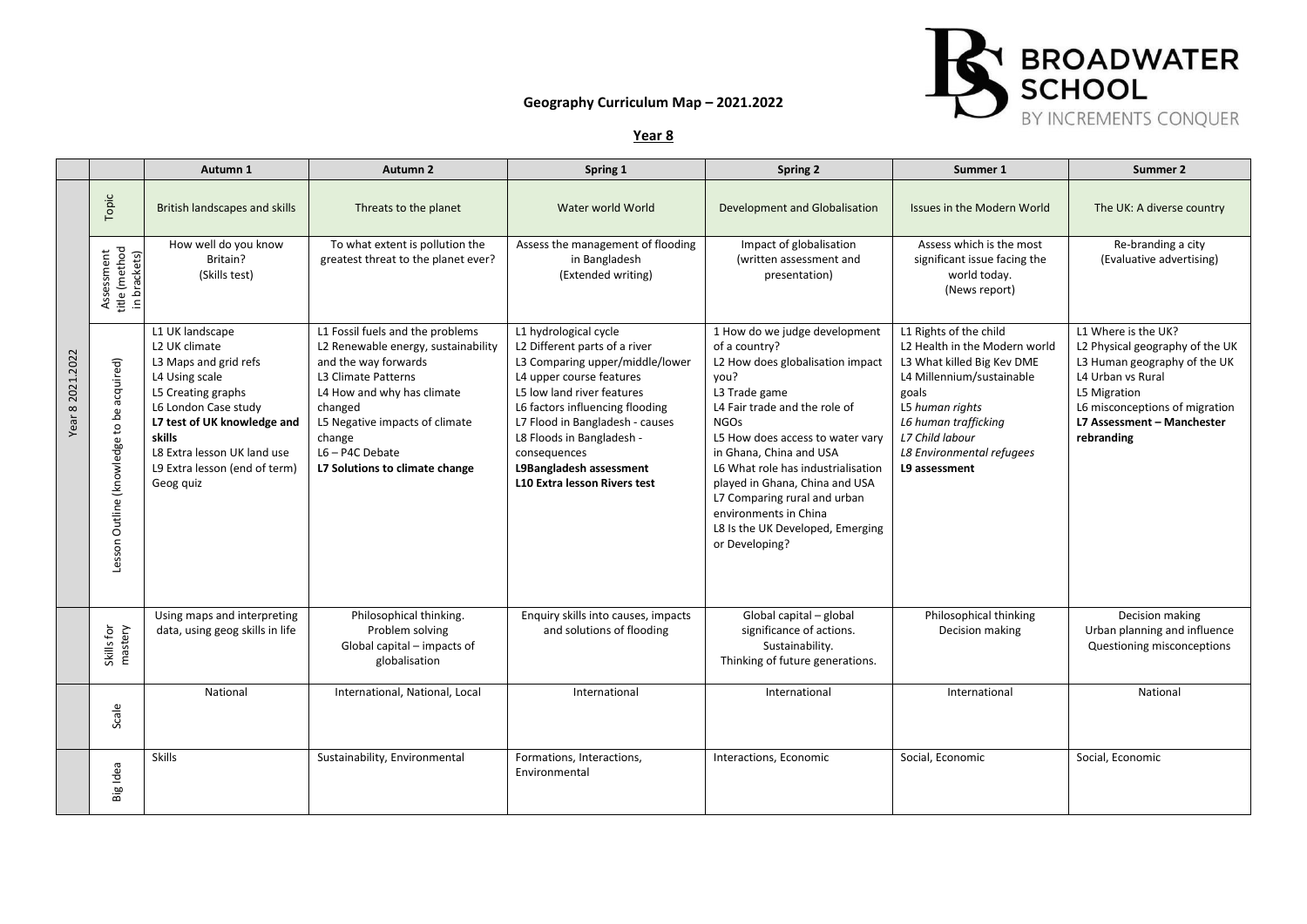## **Geography Curriculum Map – 2021.2022**



**Year 8**

|                  |                                             | Autumn 1                                                                                                                                                                                                                                        | Autumn 2                                                                                                                                                                                                                                                           | Spring 1                                                                                                                                                                                                                                                                                                                                 | Spring 2                                                                                                                                                                                                                                                                                                                                                                                                          | Summer 1                                                                                                                                                                                                                                | Summer 2                                                                                                                                                                                                  |
|------------------|---------------------------------------------|-------------------------------------------------------------------------------------------------------------------------------------------------------------------------------------------------------------------------------------------------|--------------------------------------------------------------------------------------------------------------------------------------------------------------------------------------------------------------------------------------------------------------------|------------------------------------------------------------------------------------------------------------------------------------------------------------------------------------------------------------------------------------------------------------------------------------------------------------------------------------------|-------------------------------------------------------------------------------------------------------------------------------------------------------------------------------------------------------------------------------------------------------------------------------------------------------------------------------------------------------------------------------------------------------------------|-----------------------------------------------------------------------------------------------------------------------------------------------------------------------------------------------------------------------------------------|-----------------------------------------------------------------------------------------------------------------------------------------------------------------------------------------------------------|
|                  | Topic                                       | British landscapes and skills                                                                                                                                                                                                                   | Threats to the planet                                                                                                                                                                                                                                              | Water world World                                                                                                                                                                                                                                                                                                                        | Development and Globalisation                                                                                                                                                                                                                                                                                                                                                                                     | Issues in the Modern World                                                                                                                                                                                                              | The UK: A diverse country                                                                                                                                                                                 |
|                  | title (method<br>Assessment<br>in brackets) | How well do you know<br>Britain?<br>(Skills test)                                                                                                                                                                                               | To what extent is pollution the<br>greatest threat to the planet ever?                                                                                                                                                                                             | Assess the management of flooding<br>in Bangladesh<br>(Extended writing)                                                                                                                                                                                                                                                                 | Impact of globalisation<br>(written assessment and<br>presentation)                                                                                                                                                                                                                                                                                                                                               | Assess which is the most<br>significant issue facing the<br>world today.<br>(News report)                                                                                                                                               | Re-branding a city<br>(Evaluative advertising)                                                                                                                                                            |
| Year 8 2021.2022 | Lesson Outline (knowledge to be acquired)   | L1 UK landscape<br>L2 UK climate<br>L3 Maps and grid refs<br>L4 Using scale<br>L5 Creating graphs<br>L6 London Case study<br>L7 test of UK knowledge and<br>skills<br>L8 Extra lesson UK land use<br>L9 Extra lesson (end of term)<br>Geog quiz | L1 Fossil fuels and the problems<br>L2 Renewable energy, sustainability<br>and the way forwards<br>L3 Climate Patterns<br>L4 How and why has climate<br>changed<br>L5 Negative impacts of climate<br>change<br>$L6 - P4C$ Debate<br>L7 Solutions to climate change | L1 hydrological cycle<br>L2 Different parts of a river<br>L3 Comparing upper/middle/lower<br>L4 upper course features<br>L5 low land river features<br>L6 factors influencing flooding<br>L7 Flood in Bangladesh - causes<br>L8 Floods in Bangladesh -<br>consequences<br>L9Bangladesh assessment<br><b>L10 Extra lesson Rivers test</b> | 1 How do we judge development<br>of a country?<br>L2 How does globalisation impact<br>you?<br>L3 Trade game<br>L4 Fair trade and the role of<br><b>NGOs</b><br>L5 How does access to water vary<br>in Ghana, China and USA<br>L6 What role has industrialisation<br>played in Ghana, China and USA<br>L7 Comparing rural and urban<br>environments in China<br>L8 Is the UK Developed, Emerging<br>or Developing? | L1 Rights of the child<br>L2 Health in the Modern world<br>L3 What killed Big Kev DME<br>L4 Millennium/sustainable<br>goals<br>L5 human rights<br>L6 human trafficking<br>L7 Child labour<br>L8 Environmental refugees<br>L9 assessment | L1 Where is the UK?<br>L2 Physical geography of the UK<br>L3 Human geography of the UK<br>L4 Urban vs Rural<br>L5 Migration<br>L6 misconceptions of migration<br>L7 Assessment - Manchester<br>rebranding |
|                  | Skills for<br>mastery                       | Using maps and interpreting<br>data, using geog skills in life                                                                                                                                                                                  | Philosophical thinking.<br>Problem solving<br>Global capital - impacts of<br>globalisation                                                                                                                                                                         | Enquiry skills into causes, impacts<br>and solutions of flooding                                                                                                                                                                                                                                                                         | Global capital - global<br>significance of actions.<br>Sustainability.<br>Thinking of future generations.                                                                                                                                                                                                                                                                                                         | Philosophical thinking<br>Decision making                                                                                                                                                                                               | Decision making<br>Urban planning and influence<br>Questioning misconceptions                                                                                                                             |
|                  | Scale                                       | National                                                                                                                                                                                                                                        | International, National, Local                                                                                                                                                                                                                                     | International                                                                                                                                                                                                                                                                                                                            | International                                                                                                                                                                                                                                                                                                                                                                                                     | International                                                                                                                                                                                                                           | National                                                                                                                                                                                                  |
|                  | Big Idea                                    | <b>Skills</b>                                                                                                                                                                                                                                   | Sustainability, Environmental                                                                                                                                                                                                                                      | Formations, Interactions,<br>Environmental                                                                                                                                                                                                                                                                                               | Interactions, Economic                                                                                                                                                                                                                                                                                                                                                                                            | Social, Economic                                                                                                                                                                                                                        | Social, Economic                                                                                                                                                                                          |